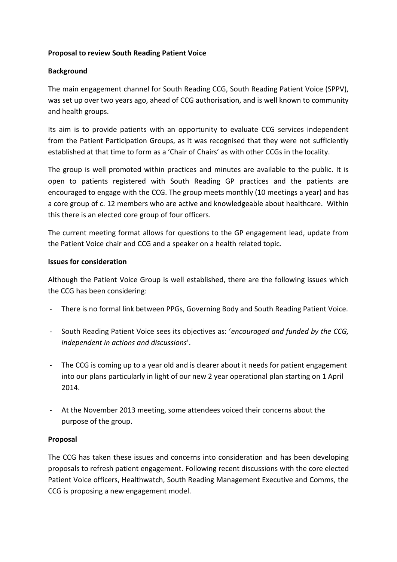## **Proposal to review South Reading Patient Voice**

# **Background**

The main engagement channel for South Reading CCG, South Reading Patient Voice (SPPV), was set up over two years ago, ahead of CCG authorisation, and is well known to community and health groups.

Its aim is to provide patients with an opportunity to evaluate CCG services independent from the Patient Participation Groups, as it was recognised that they were not sufficiently established at that time to form as a 'Chair of Chairs' as with other CCGs in the locality.

The group is well promoted within practices and minutes are available to the public. It is open to patients registered with South Reading GP practices and the patients are encouraged to engage with the CCG. The group meets monthly (10 meetings a year) and has a core group of c. 12 members who are active and knowledgeable about healthcare. Within this there is an elected core group of four officers.

The current meeting format allows for questions to the GP engagement lead, update from the Patient Voice chair and CCG and a speaker on a health related topic.

#### **Issues for consideration**

Although the Patient Voice Group is well established, there are the following issues which the CCG has been considering:

- There is no formal link between PPGs, Governing Body and South Reading Patient Voice.
- South Reading Patient Voice sees its objectives as: '*encouraged and funded by the CCG, independent in actions and discussions*'.
- The CCG is coming up to a year old and is clearer about it needs for patient engagement into our plans particularly in light of our new 2 year operational plan starting on 1 April 2014.
- At the November 2013 meeting, some attendees voiced their concerns about the purpose of the group.

## **Proposal**

The CCG has taken these issues and concerns into consideration and has been developing proposals to refresh patient engagement. Following recent discussions with the core elected Patient Voice officers, Healthwatch, South Reading Management Executive and Comms, the CCG is proposing a new engagement model.